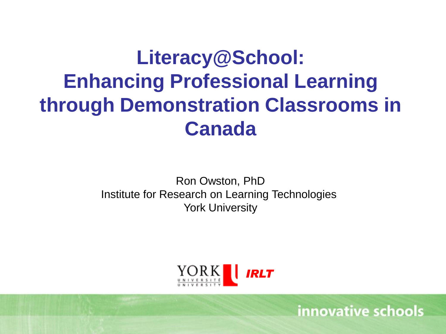# **Literacy@School: Enhancing Professional Learning through Demonstration Classrooms in Canada**

Ron Owston, PhD Institute for Research on Learning Technologies York University

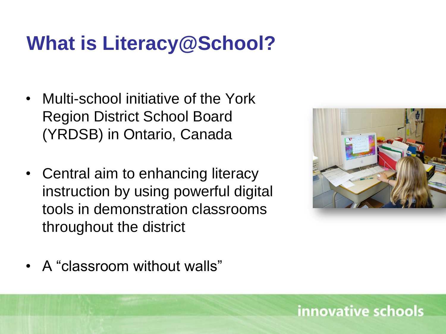# **What is Literacy@School?**

- Multi-school initiative of the York Region District School Board (YRDSB) in Ontario, Canada
- Central aim to enhancing literacy instruction by using powerful digital tools in demonstration classrooms throughout the district



• A "classroom without walls"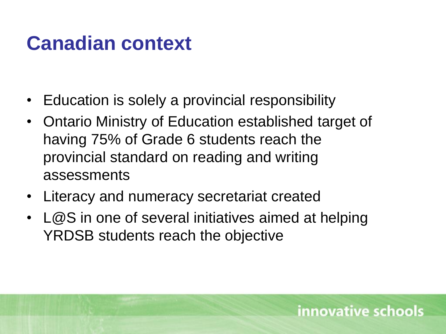## **Canadian context**

- Education is solely a provincial responsibility
- Ontario Ministry of Education established target of having 75% of Grade 6 students reach the provincial standard on reading and writing assessments
- Literacy and numeracy secretariat created
- L@S in one of several initiatives aimed at helping YRDSB students reach the objective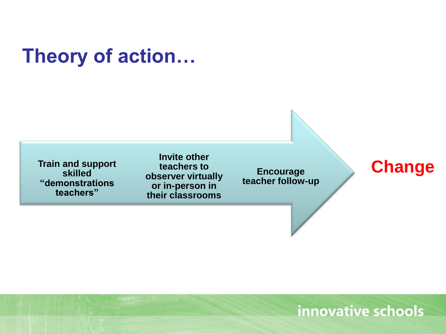### **Theory of action…**

**Train and support skilled "demonstrations teachers"**

**Invite other teachers to observer virtually or in-person in their classrooms**

**Encourage teacher follow-up**

### **Change**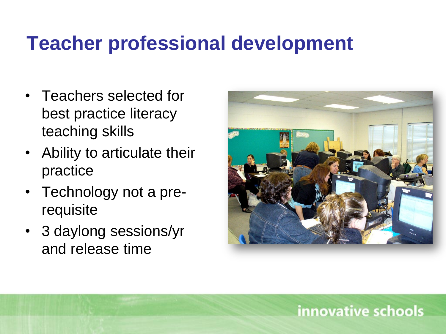## **Teacher professional development**

- Teachers selected for best practice literacy teaching skills
- Ability to articulate their practice
- Technology not a prerequisite
- 3 daylong sessions/yr and release time

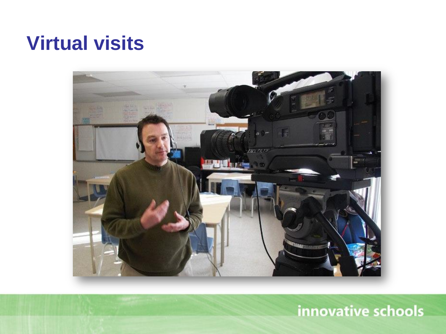### **Virtual visits**

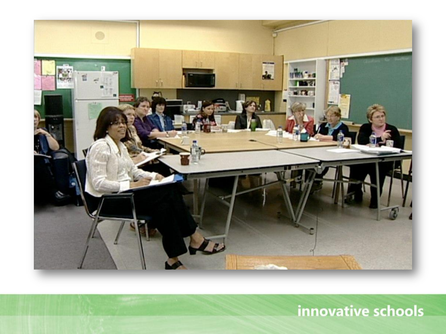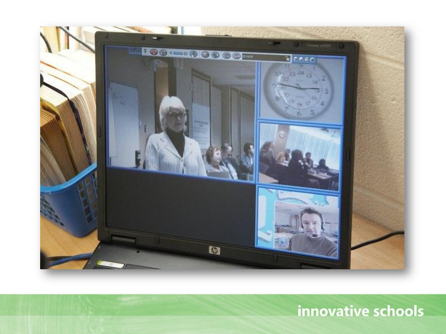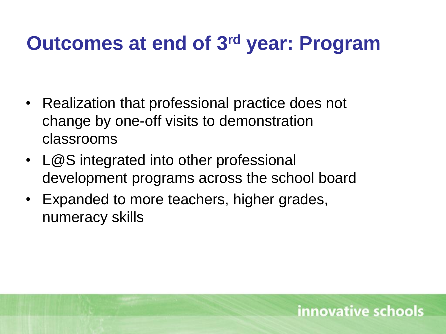## **Outcomes at end of 3rd year: Program**

- Realization that professional practice does not change by one-off visits to demonstration classrooms
- L@S integrated into other professional development programs across the school board

innovative schools

• Expanded to more teachers, higher grades, numeracy skills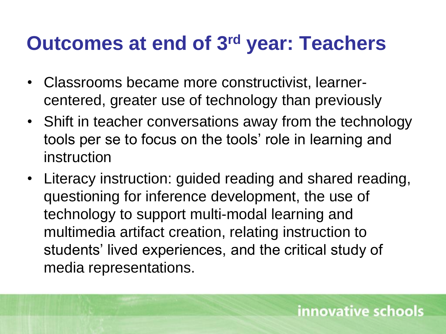### **Outcomes at end of 3rd year: Teachers**

- Classrooms became more constructivist, learnercentered, greater use of technology than previously
- Shift in teacher conversations away from the technology tools per se to focus on the tools' role in learning and instruction
- Literacy instruction: guided reading and shared reading, questioning for inference development, the use of technology to support multi-modal learning and multimedia artifact creation, relating instruction to students' lived experiences, and the critical study of media representations.

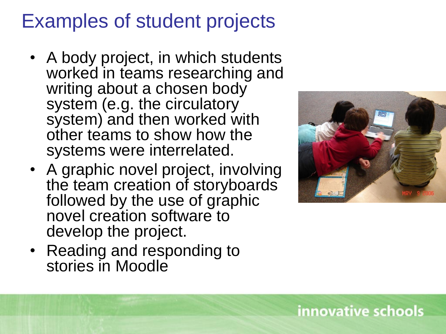## Examples of student projects

- A body project, in which students worked in teams researching and writing about a chosen body system (e.g. the circulatory system) and then worked with other teams to show how the systems were interrelated.
- A graphic novel project, involving the team creation of storyboards followed by the use of graphic novel creation software to develop the project.
- Reading and responding to stories in Moodle

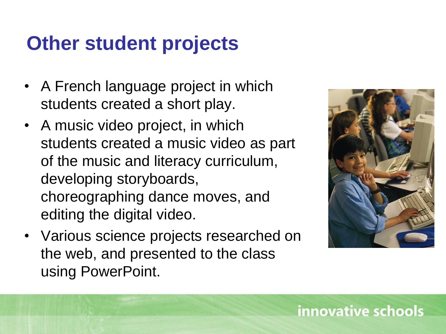## **Other student projects**

- A French language project in which students created a short play.
- A music video project, in which students created a music video as part of the music and literacy curriculum, developing storyboards, choreographing dance moves, and editing the digital video.
- Various science projects researched on the web, and presented to the class using PowerPoint.